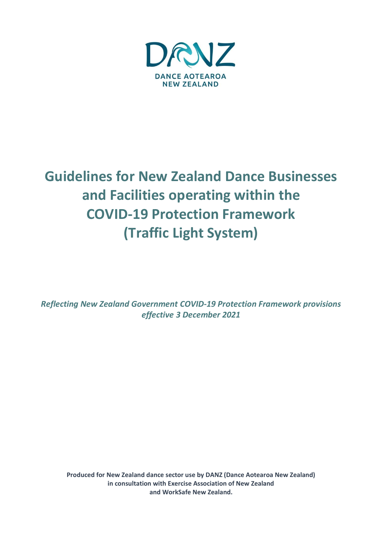

# **Guidelines for New Zealand Dance Businesses and Facilities operating within the COVID-19 Protection Framework (Traffic Light System)**

*Reflecting New Zealand Government COVID-19 Protection Framework provisions effective 3 December 2021*

**Produced for New Zealand dance sector use by DANZ (Dance Aotearoa New Zealand) in consultation with Exercise Association of New Zealand and WorkSafe New Zealand.**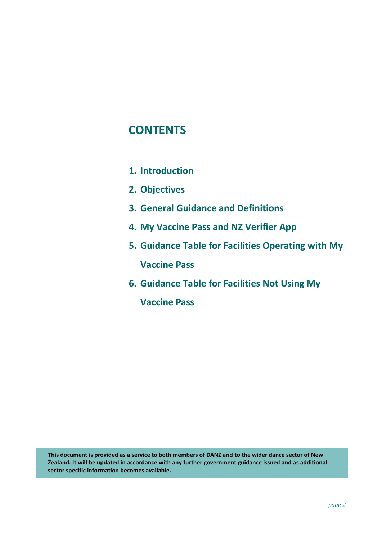## **CONTENTS**

- **1. Introduction**
- **2. Objectives**
- **3. General Guidance and Definitions**
- **4. My Vaccine Pass and NZ Verifier App**
- **5. Guidance Table for Facilities Operating with My Vaccine Pass**
- **6. Guidance Table for Facilities Not Using My**

**Vaccine Pass**

**This document is provided as a service to both members of DANZ and to the wider dance sector of New Zealand. It will be updated in accordance with any further government guidance issued and as additional sector specific information becomes available.**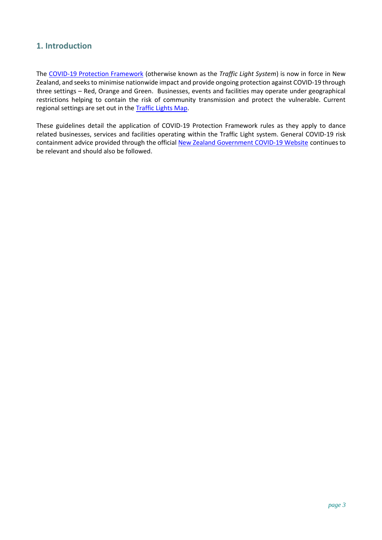## **1. Introduction**

The [COVID-19 Protection Framework](https://covid19.govt.nz/assets/COVID-19-Protection-Framework/COVID-19-Protection-Framework-traffic-lights-summary-table.pdf) (otherwise known as the *Traffic Light System*) is now in force in New Zealand, and seeks to minimise nationwide impact and provide ongoing protection against COVID-19 through three settings – Red, Orange and Green. Businesses, events and facilities may operate under geographical restrictions helping to contain the risk of community transmission and protect the vulnerable. Current regional settings are set out in the [Traffic Lights Map.](https://covid19.govt.nz/traffic-lights/traffic-lights-map/)

These guidelines detail the application of COVID-19 Protection Framework rules as they apply to dance related businesses, services and facilities operating within the Traffic Light system. General COVID-19 risk containment advice provided through the officia[l New Zealand Government COVID-19 Website](https://covid19.govt.nz/) continues to be relevant and should also be followed.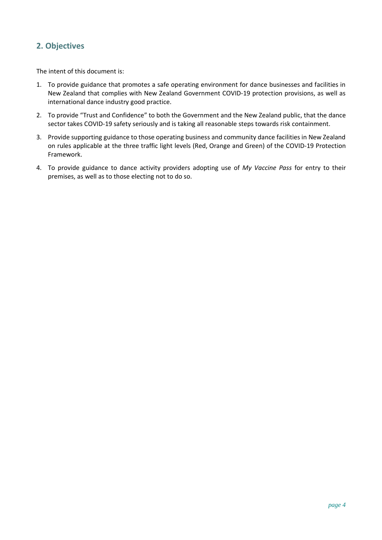## **2. Objectives**

The intent of this document is:

- 1. To provide guidance that promotes a safe operating environment for dance businesses and facilities in New Zealand that complies with New Zealand Government COVID-19 protection provisions, as well as international dance industry good practice.
- 2. To provide "Trust and Confidence" to both the Government and the New Zealand public, that the dance sector takes COVID-19 safety seriously and is taking all reasonable steps towards risk containment.
- 3. Provide supporting guidance to those operating business and community dance facilities in New Zealand on rules applicable at the three traffic light levels (Red, Orange and Green) of the COVID-19 Protection Framework.
- 4. To provide guidance to dance activity providers adopting use of *My Vaccine Pass* for entry to their premises, as well as to those electing not to do so.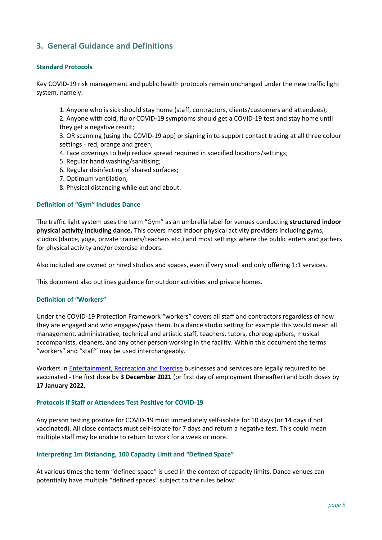### **3. General Guidance and Definitions**

#### **Standard Protocols**

Key COVID-19 risk management and public health protocols remain unchanged under the new traffic light system, namely:

1. Anyone who is sick should stay home (staff, contractors, clients/customers and attendees);

2. Anyone with cold, flu or COVID-19 symptoms should get a COVID-19 test and stay home until they get a negative result;

3. QR scanning (using the COVID-19 app) or signing in to support contact tracing at all three colour settings - red, orange and green;

- 4. Face coverings to help reduce spread required in specified locations/settings;
- 5. Regular hand washing/sanitising;
- 6. Regular disinfecting of shared surfaces;
- 7. Optimum ventilation;
- 8. Physical distancing while out and about.

#### **Definition of "Gym" Includes Dance**

The traffic light system uses the term "Gym" as an umbrella label for venues conducting **structured indoor physical activity including dance.** This covers most indoor physical activity providers including gyms, studios (dance, yoga, private trainers/teachers etc,) and most settings where the public enters and gathers for physical activity and/or exercise indoors.

Also included are owned or hired studios and spaces, even if very small and only offering 1:1 services.

This document also outlines guidance for outdoor activities and private homes.

#### **Definition of "Workers"**

Under the COVID-19 Protection Framework "workers" covers all staff and contractors regardless of how they are engaged and who engages/pays them. In a dance studio setting for example this would mean all management, administrative, technical and artistic staff, teachers, tutors, choreographers, musical accompanists, cleaners, and any other person working in the facility. Within this document the terms "workers" and "staff" may be used interchangeably.

Workers in [Entertainment, Recreation and Exercise](https://www.business.govt.nz/covid-19/covid-19-protection-framework/entertainment-recreation-and-exercise/) businesses and services are legally required to be vaccinated - the first dose by **3 December 2021** (or first day of employment thereafter) and both doses by **17 January 2022**.

#### **Protocols if Staff or Attendees Test Positive for COVID-19**

Any person testing positive for COVID-19 must immediately self-isolate for 10 days (or 14 days if not vaccinated). All close contacts must self-isolate for 7 days and return a negative test. This could mean multiple staff may be unable to return to work for a week or more.

#### **Interpreting 1m Distancing, 100 Capacity Limit and "Defined Space"**

At various times the term "defined space" is used in the context of capacity limits. Dance venues can potentially have multiple "defined spaces" subject to the rules below: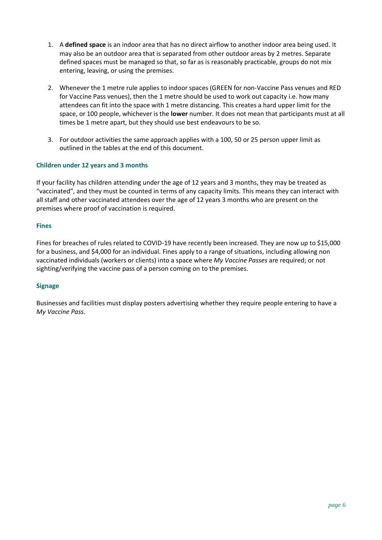- 1. A **defined space** is an indoor area that has no direct airflow to another indoor area being used. It may also be an outdoor area that is separated from other outdoor areas by 2 metres. Separate defined spaces must be managed so that, so far as is reasonably practicable, groups do not mix entering, leaving, or using the premises.
- 2. Whenever the 1 metre rule applies to indoor spaces (GREEN for non-Vaccine Pass venues and RED for Vaccine Pass venues), then the 1 metre should be used to work out capacity i.e. how many attendees can fit into the space with 1 metre distancing. This creates a hard upper limit for the space, or 100 people, whichever is the **lower** number. It does not mean that participants must at all times be 1 metre apart, but they should use best endeavours to be so.
- 3. For outdoor activities the same approach applies with a 100, 50 or 25 person upper limit as outlined in the tables at the end of this document.

#### **Children under 12 years and 3 months**

If your facility has children attending under the age of 12 years and 3 months, they may be treated as "vaccinated", and they must be counted in terms of any capacity limits. This means they can interact with all staff and other vaccinated attendees over the age of 12 years 3 months who are present on the premises where proof of vaccination is required.

#### **Fines**

Fines for breaches of rules related to COVID-19 have recently been increased. They are now up to \$15,000 for a business, and \$4,000 for an individual. Fines apply to a range of situations, including allowing non vaccinated individuals (workers or clients) into a space where *My Vaccine Passes* are required; or not sighting/verifying the vaccine pass of a person coming on to the premises.

#### **Signage**

Businesses and facilities must display posters advertising whether they require people entering to have a *My Vaccine Pass*.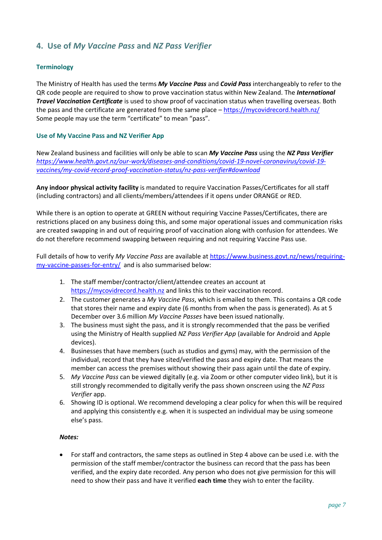## **4. Use of** *My Vaccine Pass* **and** *NZ Pass Verifier*

#### **Terminology**

The Ministry of Health has used the terms *My Vaccine Pass* and *Covid Pass* interchangeably to refer to the QR code people are required to show to prove vaccination status within New Zealand. The *International Travel Vaccination Certificate* is used to show proof of vaccination status when travelling overseas. Both the pass and the certificate are generated from the same place – <https://mycovidrecord.health.nz/> Some people may use the term "certificate" to mean "pass".

#### **Use of My Vaccine Pass and NZ Verifier App**

New Zealand business and facilities will only be able to scan *My Vaccine Pass* using the *NZ Pass Verifier [https://www.health.govt.nz/our-work/diseases-and-conditions/covid-19-novel-coronavirus/covid-19](https://www.health.govt.nz/our-work/diseases-and-conditions/covid-19-novel-coronavirus/covid-19-vaccines/my-covid-record-proof-vaccination-status/nz-pass-verifier#download) [vaccines/my-covid-record-proof-vaccination-status/nz-pass-verifier#download](https://www.health.govt.nz/our-work/diseases-and-conditions/covid-19-novel-coronavirus/covid-19-vaccines/my-covid-record-proof-vaccination-status/nz-pass-verifier#download)*

**Any indoor physical activity facility** is mandated to require Vaccination Passes/Certificates for all staff (including contractors) and all clients/members/attendees if it opens under ORANGE or RED.

While there is an option to operate at GREEN without requiring Vaccine Passes/Certificates, there are restrictions placed on any business doing this, and some major operational issues and communication risks are created swapping in and out of requiring proof of vaccination along with confusion for attendees. We do not therefore recommend swapping between requiring and not requiring Vaccine Pass use.

Full details of how to verify *My Vaccine Pass* are available at [https://www.business.govt.nz/news/requiring](https://www.business.govt.nz/news/requiring-my-vaccine-passes-for-entry/)[my-vaccine-passes-for-entry/](https://www.business.govt.nz/news/requiring-my-vaccine-passes-for-entry/) and is also summarised below:

- 1. The staff member/contractor/client/attendee creates an account at [https://mycovidrecord.health.nz](https://mycovidrecord.health.nz/) and links this to their vaccination record.
- 2. The customer generates a *My Vaccine Pass*, which is emailed to them. This contains a QR code that stores their name and expiry date (6 months from when the pass is generated). As at 5 December over 3.6 million *My Vaccine Passes* have been issued nationally.
- 3. The business must sight the pass, and it is strongly recommended that the pass be verified using the Ministry of Health supplied *NZ Pass Verifier App* (available for Android and Apple devices).
- 4. Businesses that have members (such as studios and gyms) may, with the permission of the individual, record that they have sited/verified the pass and expiry date. That means the member can access the premises without showing their pass again until the date of expiry.
- 5. *My Vaccine Pass* can be viewed digitally (e.g. via Zoom or other computer video link), but it is still strongly recommended to digitally verify the pass shown onscreen using the *NZ Pass Verifier* app.
- 6. Showing ID is optional. We recommend developing a clear policy for when this will be required and applying this consistently e.g. when it is suspected an individual may be using someone else's pass.

#### *Notes:*

• For staff and contractors, the same steps as outlined in Step 4 above can be used i.e. with the permission of the staff member/contractor the business can record that the pass has been verified, and the expiry date recorded. Any person who does not give permission for this will need to show their pass and have it verified **each time** they wish to enter the facility.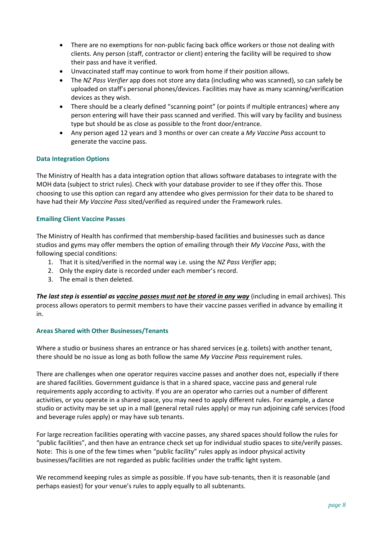- There are no exemptions for non-public facing back office workers or those not dealing with clients. Any person (staff, contractor or client) entering the facility will be required to show their pass and have it verified.
- Unvaccinated staff may continue to work from home if their position allows.
- The *NZ Pass Verifier* app does not store any data (including who was scanned), so can safely be uploaded on staff's personal phones/devices. Facilities may have as many scanning/verification devices as they wish.
- There should be a clearly defined "scanning point" (or points if multiple entrances) where any person entering will have their pass scanned and verified. This will vary by facility and business type but should be as close as possible to the front door/entrance.
- Any person aged 12 years and 3 months or over can create a *My Vaccine Pass* account to generate the vaccine pass.

#### **Data Integration Options**

The Ministry of Health has a data integration option that allows software databases to integrate with the MOH data (subject to strict rules). Check with your database provider to see if they offer this. Those choosing to use this option can regard any attendee who gives permission for their data to be shared to have had their *My Vaccine Pass* sited/verified as required under the Framework rules.

#### **Emailing Client Vaccine Passes**

The Ministry of Health has confirmed that membership-based facilities and businesses such as dance studios and gyms may offer members the option of emailing through their *My Vaccine Pass*, with the following special conditions:

- 1. That it is sited/verified in the normal way i.e. using the *NZ Pass Verifier* app;
- 2. Only the expiry date is recorded under each member's record.
- 3. The email is then deleted.

*The last step is essential as vaccine passes must not be stored in any way* (including in email archives). This process allows operators to permit members to have their vaccine passes verified in advance by emailing it in.

#### **Areas Shared with Other Businesses/Tenants**

Where a studio or business shares an entrance or has shared services (e.g. toilets) with another tenant, there should be no issue as long as both follow the same *My Vaccine Pass* requirement rules.

There are challenges when one operator requires vaccine passes and another does not, especially if there are shared facilities. Government guidance is that in a shared space, vaccine pass and general rule requirements apply according to activity. If you are an operator who carries out a number of different activities, or you operate in a shared space, you may need to apply different rules. For example, a dance studio or activity may be set up in a mall (general retail rules apply) or may run adjoining café services (food and beverage rules apply) or may have sub tenants.

For large recreation facilities operating with vaccine passes, any shared spaces should follow the rules for "public facilities", and then have an entrance check set up for individual studio spaces to site/verify passes. Note: This is one of the few times when "public facility" rules apply as indoor physical activity businesses/facilities are not regarded as public facilities under the traffic light system.

We recommend keeping rules as simple as possible. If you have sub-tenants, then it is reasonable (and perhaps easiest) for your venue's rules to apply equally to all subtenants.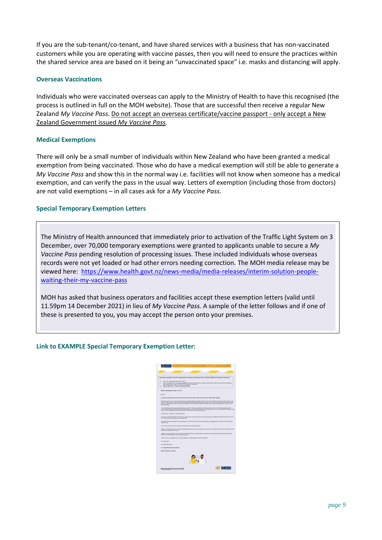If you are the sub-tenant/co-tenant, and have shared services with a business that has non-vaccinated customers while you are operating with vaccine passes, then you will need to ensure the practices within the shared service area are based on it being an "unvaccinated space" i.e. masks and distancing will apply.

#### **Overseas Vaccinations**

Individuals who were vaccinated overseas can apply to the Ministry of Health to have this recognised (the process is outlined in full on the MOH website). Those that are successful then receive a regular New Zealand *My Vaccine Pass*. Do not accept an overseas certificate/vaccine passport - only accept a New Zealand Government issued *My Vaccine Pass*.

#### **Medical Exemptions**

There will only be a small number of individuals within New Zealand who have been granted a medical exemption from being vaccinated. Those who do have a medical exemption will still be able to generate a *My Vaccine Pass* and show this in the normal way i.e. facilities will not know when someone has a medical exemption, and can verify the pass in the usual way. Letters of exemption (including those from doctors) are not valid exemptions – in all cases ask for a *My Vaccine Pass*.

#### **Special Temporary Exemption Letters**

**Special Temporary Exemption Letters**

The Ministry of Health announced that immediately prior to activation of the Traffic Light System on 3 December, over 70,000 temporary exemptions were granted to applicants unable to secure a *My Vaccine Pass* pending resolution of processing issues. These included individuals whose overseas records were not yet loaded or had other errors needing correction. The MOH media release may be viewed here: [https://www.health.govt.nz/news-media/media-releases/interim-solution-people](https://www.health.govt.nz/news-media/media-releases/interim-solution-people-waiting-their-my-vaccine-pass)[waiting-their-my-vaccine-pass](https://www.health.govt.nz/news-media/media-releases/interim-solution-people-waiting-their-my-vaccine-pass)

MOH has asked that business operators and facilities accept these exemption letters (valid until 11.59pm 14 December 2021) in lieu of *My Vaccine Pass.* A sample of the letter follows and if one of these is presented to you, you may accept the person onto your premises.

#### **Link to EXAMPLE Special Temporary Exemption Letter:**

| Temporary exemption from the requirement to produce a My Vaccine Pass under the COVID-18 Protection Framework                                                                                                                                                                                                                                                                                                                                                 |  |
|---------------------------------------------------------------------------------------------------------------------------------------------------------------------------------------------------------------------------------------------------------------------------------------------------------------------------------------------------------------------------------------------------------------------------------------------------------------|--|
| You have requested a My Vaccine Pane.                                                                                                                                                                                                                                                                                                                                                                                                                         |  |
| This is a record of your temporary exemption from the requirement to produce a My Vaccine Pleis as required at businesses<br>and organizations under the COVID-19 Protection Framework.                                                                                                                                                                                                                                                                       |  |
| This is valid until 11.59 pm 14 December 2021.                                                                                                                                                                                                                                                                                                                                                                                                                |  |
| <b>Creises chemifying number: KYX125</b>                                                                                                                                                                                                                                                                                                                                                                                                                      |  |
| <b>Was new.</b>                                                                                                                                                                                                                                                                                                                                                                                                                                               |  |
| Temporary exemption from the requirement to produce a My Vaccine Pass under the Traffic Light Byoken.                                                                                                                                                                                                                                                                                                                                                         |  |
| We have renationf your request for possibilities in updating details telefoliated with your Cover 15 countrative records in order to obtain a My<br>Viscone Pass. Because of the high number of people requesting individual support for their Covid-15 vaccination records we have not been<br>able to instrume una request in long for the transition to the nate Coast Protection Francisco (the Traffic Labl Sustaini) at 11.53 pm an 3.<br>December 2021 |  |
| This small what provides you with a temporary assemption from the requirement to produce a My Vaccine Pass. The exemption is given<br>wider clause 105 of the COVID-19 Public Health Reserves (Projection Formework) Order 2021. This is an interior sciution for painting access<br>to many of the termings that require a My Vaccore Paus under the Traffic Light System.                                                                                   |  |
| K is valid until 11 Stark an 14 December 2021.                                                                                                                                                                                                                                                                                                                                                                                                                |  |
| Our learn is working trainesty to process your inspect and reaches any teams you are experiencing in interests a My Vancine Pass. We will<br>Se in bluch with you taken we have completed this.                                                                                                                                                                                                                                                               |  |
| In the starty you can prosent this amail materal of a My Yaccors Page. We set fourneess and organizations to accept it in the of the My<br><b>Viening Para</b>                                                                                                                                                                                                                                                                                                |  |
| If you have already received your My Vaccine Place, please Spring TVs crival.                                                                                                                                                                                                                                                                                                                                                                                 |  |
| Please rich that this entail is not official conformation that you are fully recommend, and access to a particular writing is at the discretion of the<br>business or organization stucked.                                                                                                                                                                                                                                                                   |  |
| I want to woure you that you do not read a My Vaccore Pake to eccess exceeded services out-on supermarkets, pharmaces and pakel.<br>stations, or to participate in many everyday activities.                                                                                                                                                                                                                                                                  |  |
| Thank you for your patience as our learn manages art unprecedented number of requeste.                                                                                                                                                                                                                                                                                                                                                                        |  |
| <b>Tours simparely</b>                                                                                                                                                                                                                                                                                                                                                                                                                                        |  |
| <b>Sr Autors Woordsex</b>                                                                                                                                                                                                                                                                                                                                                                                                                                     |  |
| To Turny Whakaras mi to Hausra                                                                                                                                                                                                                                                                                                                                                                                                                                |  |
| <b>Elegantor Correrat of Hostin</b>                                                                                                                                                                                                                                                                                                                                                                                                                           |  |
|                                                                                                                                                                                                                                                                                                                                                                                                                                                               |  |
| New Zealand Government                                                                                                                                                                                                                                                                                                                                                                                                                                        |  |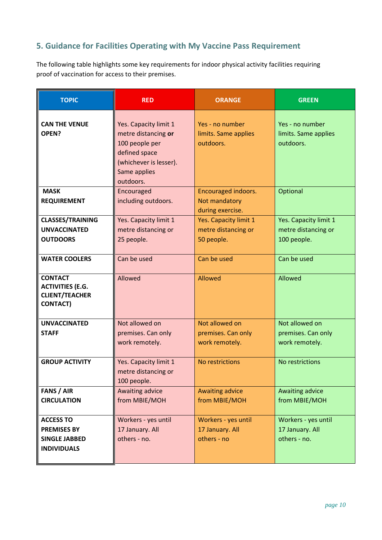## **5. Guidance for Facilities Operating with My Vaccine Pass Requirement**

The following table highlights some key requirements for indoor physical activity facilities requiring proof of vaccination for access to their premises.

| <b>TOPIC</b>                                                                          | <b>RED</b>                                                                                                                             | <b>ORANGE</b>                                              | <b>GREEN</b>                                                |
|---------------------------------------------------------------------------------------|----------------------------------------------------------------------------------------------------------------------------------------|------------------------------------------------------------|-------------------------------------------------------------|
| <b>CAN THE VENUE</b><br>OPEN?                                                         | Yes. Capacity limit 1<br>metre distancing or<br>100 people per<br>defined space<br>(whichever is lesser).<br>Same applies<br>outdoors. | Yes - no number<br>limits. Same applies<br>outdoors.       | Yes - no number<br>limits. Same applies<br>outdoors.        |
| <b>MASK</b><br><b>REQUIREMENT</b>                                                     | Encouraged<br>including outdoors.                                                                                                      | Encouraged indoors.<br>Not mandatory<br>during exercise.   | Optional                                                    |
| <b>CLASSES/TRAINING</b><br><b>UNVACCINATED</b><br><b>OUTDOORS</b>                     | Yes. Capacity limit 1<br>metre distancing or<br>25 people.                                                                             | Yes. Capacity limit 1<br>metre distancing or<br>50 people. | Yes. Capacity limit 1<br>metre distancing or<br>100 people. |
| <b>WATER COOLERS</b>                                                                  | Can be used                                                                                                                            | Can be used                                                | Can be used                                                 |
| <b>CONTACT</b><br><b>ACTIVITIES (E.G.</b><br><b>CLIENT/TEACHER</b><br><b>CONTACT)</b> | Allowed                                                                                                                                | Allowed                                                    | Allowed                                                     |
| <b>UNVACCINATED</b><br><b>STAFF</b>                                                   | Not allowed on<br>premises. Can only<br>work remotely.                                                                                 | Not allowed on<br>premises. Can only<br>work remotely.     | Not allowed on<br>premises. Can only<br>work remotely.      |
| <b>GROUP ACTIVITY</b>                                                                 | Yes. Capacity limit 1<br>metre distancing or<br>100 people.                                                                            | No restrictions                                            | No restrictions                                             |
| <b>FANS / AIR</b><br><b>CIRCULATION</b>                                               | Awaiting advice<br>from MBIE/MOH                                                                                                       | <b>Awaiting advice</b><br>from MBIE/MOH                    | Awaiting advice<br>from MBIE/MOH                            |
| <b>ACCESS TO</b><br><b>PREMISES BY</b><br><b>SINGLE JABBED</b><br><b>INDIVIDUALS</b>  | Workers - yes until<br>17 January. All<br>others - no.                                                                                 | Workers - yes until<br>17 January. All<br>others - no      | Workers - yes until<br>17 January. All<br>others - no.      |